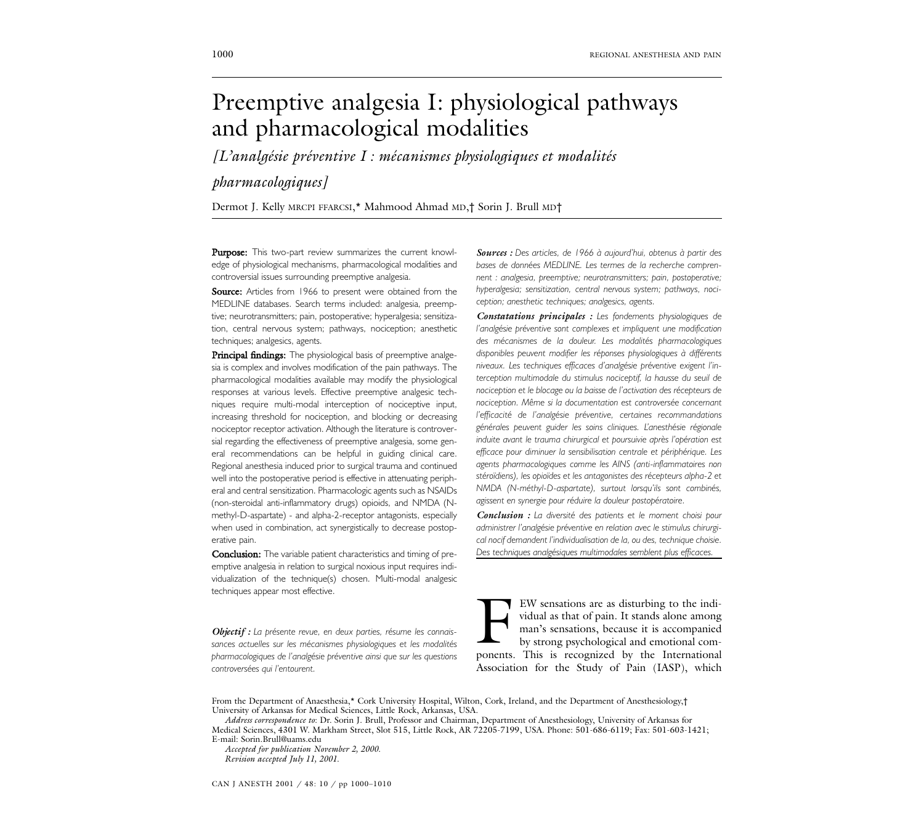# Preemptive analgesia I: physiological pathways and pharmacological modalities

*[L'analgésie préventive I : mécanismes physiologiques et modalités pharmacologiques]*

Dermot J. Kelly MRCPI FFARCSI,\* Mahmood Ahmad MD,† Sorin J. Brull MD†

**Purpose:** This two-part review summarizes the current knowledge of physiological mechanisms, pharmacological modalities and controversial issues surrounding preemptive analgesia.

Source: Articles from 1966 to present were obtained from the MEDLINE databases. Search terms included: analgesia, preemptive; neurotransmitters; pain, postoperative; hyperalgesia; sensitization, central nervous system; pathways, nociception; anesthetic techniques; analgesics, agents.

**Principal findings:** The physiological basis of preemptive analgesia is complex and involves modification of the pain pathways. The pharmacological modalities available may modify the physiological responses at various levels. Effective preemptive analgesic techniques require multi-modal interception of nociceptive input, increasing threshold for nociception, and blocking or decreasing nociceptor receptor activation. Although the literature is controversial regarding the effectiveness of preemptive analgesia, some general recommendations can be helpful in guiding clinical care. Regional anesthesia induced prior to surgical trauma and continued well into the postoperative period is effective in attenuating peripheral and central sensitization. Pharmacologic agents such as NSAIDs (non-steroidal anti-inflammatory drugs) opioids, and NMDA (Nmethyl-D-aspartate) - and alpha-2-receptor antagonists, especially when used in combination, act synergistically to decrease postoperative pain.

**Conclusion:** The variable patient characteristics and timing of preemptive analgesia in relation to surgical noxious input requires individualization of the technique(s) chosen. Multi-modal analgesic techniques appear most effective.

**Objectif :** La présente revue, en deux parties, résume les connaissances actuelles sur les mécanismes physiologiques et les modalités pharmacologiques de l'analgésie préventive ainsi que sur les questions controversées qui l'entourent.

Sources : Des articles, de 1966 à aujourd'hui, obtenus à partir des bases de données MEDLINE. Les termes de la recherche comprennent : analgesia, preemptive; neurotransmitters; pain, postoperative; hyperalgesia; sensitization, central nervous system; pathways, nociception; anesthetic techniques; analgesics, agents.

**Constatations principales :** Les fondements physiologiques de l'analgésie préventive sont complexes et impliquent une modification des mécanismes de la douleur. Les modalités pharmacologiques disponibles peuvent modifier les réponses physiologiques à différents niveaux. Les techniques efficaces d'analgésie préventive exigent l'interception multimodale du stimulus nociceptif, la hausse du seuil de nociception et le blocage ou la baisse de l'activation des récepteurs de nociception. Même si la documentation est controversée concernant l'efficacité de l'analgésie préventive, certaines recommandations générales peuvent guider les soins cliniques. L'anesthésie régionale induite avant le trauma chirurgical et poursuivie après l'opération est efficace pour diminuer la sensibilisation centrale et périphérique. Les agents pharmacologiques comme les AINS (anti-inflammatoires non stéroïdiens), les opioïdes et les antagonistes des récepteurs alpha-2 et NMDA (N-méthyl-D-aspartate), surtout lorsqu'ils sont combinés, agissent en synergie pour réduire la douleur postopératoire.

**Conclusion :** La diversité des patients et le moment choisi pour administrer l'analgésie préventive en relation avec le stimulus chirurgical nocif demandent l'individualisation de la, ou des, technique choisie. Des techniques analgésiques multimodales semblent plus efficaces.

EW sensations are as disturbing to the individual as that of pain. It stands alone among man's sensations, because it is accompanied by strong psychological and emotional com-EW sensations are as disturbing to the individual as that of pain. It stands alone among man's sensations, because it is accompanied by strong psychological and emotional components. This is recognized by the International Association for the Study of Pain (IASP), which

*Accepted for publication November 2, 2000. Revision accepted July 11, 2001.*

From the Department of Anaesthesia,\* Cork University Hospital, Wilton, Cork, Ireland, and the Department of Anesthesiology,† University of Arkansas for Medical Sciences, Little Rock, Arkansas, USA.

*Address correspondence to*: Dr. Sorin J. Brull, Professor and Chairman, Department of Anesthesiology, University of Arkansas for Medical Sciences, 4301 W. Markham Street, Slot 515, Little Rock, AR 72205-7199, USA. Phone: 501-686-6119; Fax: 501-603-1421; E-mail: Sorin.Brull@uams.edu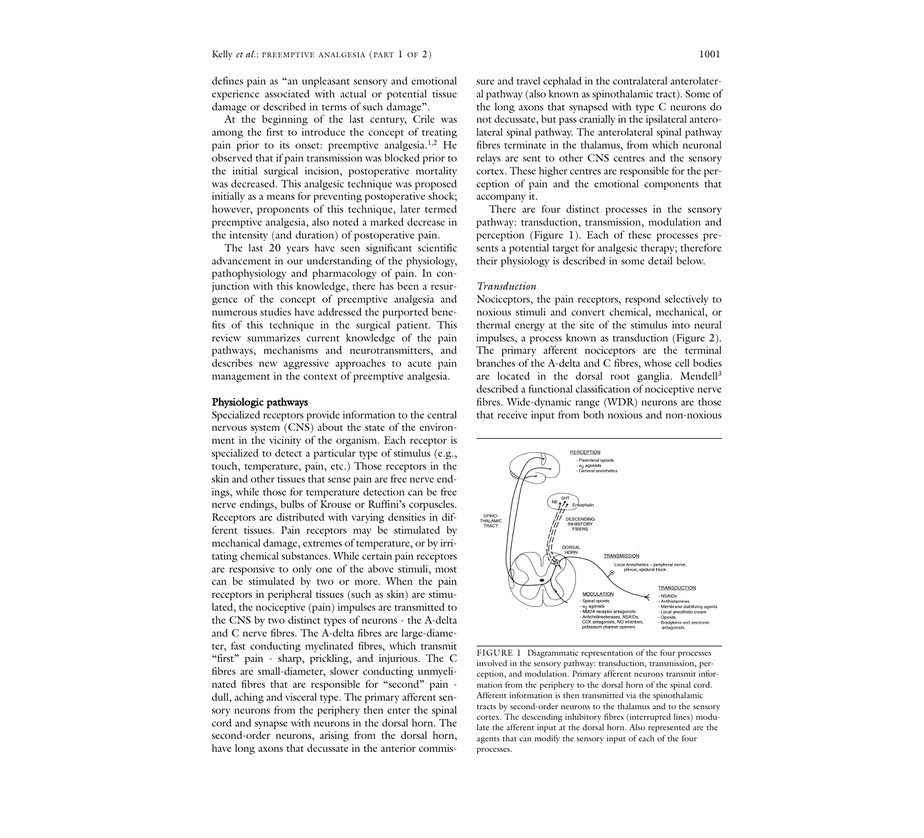defines pain as "an unpleasant sensory and emotional experience associated with actual or potential tissue damage or described in terms of such damage".

At the beginning of the last century, Crile was among the first to introduce the concept of treating pain prior to its onset: preemptive analgesia.<sup>1,2</sup> He observed that if pain transmission was blocked prior to the initial surgical incision, postoperative mortality was decreased. This analgesic technique was proposed initially as a means for preventing postoperative shock; however, proponents of this technique, later termed preemptive analgesia, also noted a marked decrease in the intensity (and duration) of postoperative pain.

The last 20 years have seen significant scientific advancement in our understanding of the physiology, pathophysiology and pharmacology of pain. In conjunction with this knowledge, there has been a resurgence of the concept of preemptive analgesia and numerous studies have addressed the purported benefits of this technique in the surgical patient. This review summarizes current knowledge of the pain pathways, mechanisms and neurotransmitters, and describes new aggressive approaches to acute pain management in the context of preemptive analgesia.

# Physiologic pathways

Specialized receptors provide information to the central nervous system (CNS) about the state of the environment in the vicinity of the organism. Each receptor is specialized to detect a particular type of stimulus (e.g., touch, temperature, pain, etc.) Those receptors in the skin and other tissues that sense pain are free nerve endings, while those for temperature detection can be free nerve endings, bulbs of Krouse or Ruffini's corpuscles. Receptors are distributed with varying densities in different tissues. Pain receptors may be stimulated by mechanical damage, extremes of temperature, or by irritating chemical substances. While certain pain receptors are responsive to only one of the above stimuli, most can be stimulated by two or more. When the pain receptors in peripheral tissues (such as skin) are stimulated, the nociceptive (pain) impulses are transmitted to the CNS by two distinct types of neurons - the A-delta and C nerve fibres. The A-delta fibres are large-diameter, fast conducting myelinated fibres, which transmit "first" pain - sharp, prickling, and injurious. The C fibres are small-diameter, slower conducting unmyelinated fibres that are responsible for "second" pain dull, aching and visceral type. The primary afferent sensory neurons from the periphery then enter the spinal cord and synapse with neurons in the dorsal horn. The second-order neurons, arising from the dorsal horn, have long axons that decussate in the anterior commis-

sure and travel cephalad in the contralateral anterolateral pathway (also known as spinothalamic tract). Some of the long axons that synapsed with type C neurons do not decussate, but pass cranially in the ipsilateral anterolateral spinal pathway. The anterolateral spinal pathway fibres terminate in the thalamus, from which neuronal relays are sent to other CNS centres and the sensory cortex. These higher centres are responsible for the perception of pain and the emotional components that accompany it.

There are four distinct processes in the sensory pathway: transduction, transmission, modulation and perception (Figure 1). Each of these processes presents a potential target for analgesic therapy; therefore their physiology is described in some detail below.

#### *Transduction*

Nociceptors, the pain receptors, respond selectively to noxious stimuli and convert chemical, mechanical, or thermal energy at the site of the stimulus into neural impulses, a process known as transduction (Figure 2). The primary afferent nociceptors are the terminal branches of the A-delta and C fibres, whose cell bodies are located in the dorsal root ganglia. Mendell<sup>3</sup> described a functional classification of nociceptive nerve fibres. Wide-dynamic range (WDR) neurons are those that receive input from both noxious and non-noxious



FIGURE 1 Diagrammatic representation of the four processes involved in the sensory pathway: transduction, transmission, perception, and modulation. Primary afferent neurons transmit information from the periphery to the dorsal horn of the spinal cord. Afferent information is then transmitted via the spinothalamic tracts by second-order neurons to the thalamus and to the sensory cortex. The descending inhibitory fibres (interrupted lines) modulate the afferent input at the dorsal horn. Also represented are the agents that can modify the sensory input of each of the four processes.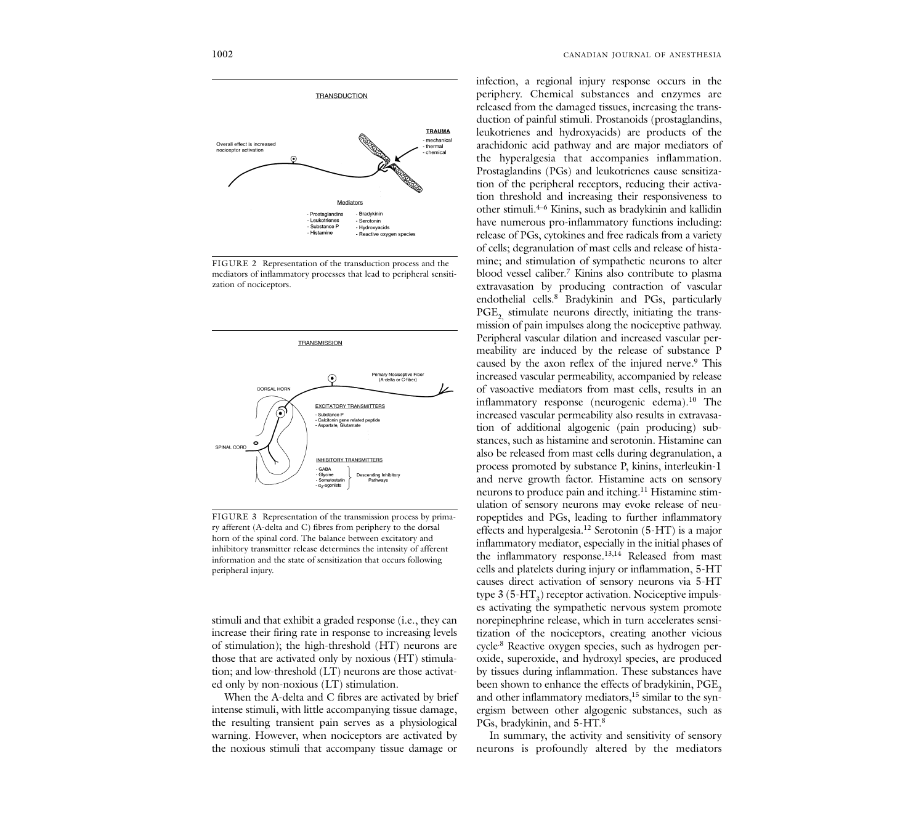

FIGURE 2 Representation of the transduction process and the mediators of inflammatory processes that lead to peripheral sensitization of nociceptors.



FIGURE 3 Representation of the transmission process by primary afferent (A-delta and C) fibres from periphery to the dorsal horn of the spinal cord. The balance between excitatory and inhibitory transmitter release determines the intensity of afferent information and the state of sensitization that occurs following peripheral injury.

stimuli and that exhibit a graded response (i.e., they can increase their firing rate in response to increasing levels of stimulation); the high-threshold (HT) neurons are those that are activated only by noxious (HT) stimulation; and low-threshold (LT) neurons are those activated only by non-noxious (LT) stimulation.

When the A-delta and C fibres are activated by brief intense stimuli, with little accompanying tissue damage, the resulting transient pain serves as a physiological warning. However, when nociceptors are activated by the noxious stimuli that accompany tissue damage or

infection, a regional injury response occurs in the periphery. Chemical substances and enzymes are released from the damaged tissues, increasing the transduction of painful stimuli. Prostanoids (prostaglandins, leukotrienes and hydroxyacids) are products of the arachidonic acid pathway and are major mediators of the hyperalgesia that accompanies inflammation. Prostaglandins (PGs) and leukotrienes cause sensitization of the peripheral receptors, reducing their activation threshold and increasing their responsiveness to other stimuli.4–6 Kinins, such as bradykinin and kallidin have numerous pro-inflammatory functions including: release of PGs, cytokines and free radicals from a variety of cells; degranulation of mast cells and release of histamine; and stimulation of sympathetic neurons to alter blood vessel caliber.7 Kinins also contribute to plasma extravasation by producing contraction of vascular endothelial cells.8 Bradykinin and PGs, particularly PGE<sub>2</sub> stimulate neurons directly, initiating the transmission of pain impulses along the nociceptive pathway. Peripheral vascular dilation and increased vascular permeability are induced by the release of substance P caused by the axon reflex of the injured nerve.<sup>9</sup> This increased vascular permeability, accompanied by release of vasoactive mediators from mast cells, results in an inflammatory response (neurogenic edema).<sup>10</sup> The increased vascular permeability also results in extravasation of additional algogenic (pain producing) substances, such as histamine and serotonin. Histamine can also be released from mast cells during degranulation, a process promoted by substance P, kinins, interleukin-1 and nerve growth factor. Histamine acts on sensory neurons to produce pain and itching.<sup>11</sup> Histamine stimulation of sensory neurons may evoke release of neuropeptides and PGs, leading to further inflammatory effects and hyperalgesia.12 Serotonin (5-HT) is a major inflammatory mediator, especially in the initial phases of the inflammatory response.<sup>13,14</sup> Released from mast cells and platelets during injury or inflammation, 5-HT causes direct activation of sensory neurons via 5-HT type  $3$  (5-HT<sub>2</sub>) receptor activation. Nociceptive impulses activating the sympathetic nervous system promote norepinephrine release, which in turn accelerates sensitization of the nociceptors, creating another vicious cycle.8 Reactive oxygen species, such as hydrogen peroxide, superoxide, and hydroxyl species, are produced by tissues during inflammation. These substances have been shown to enhance the effects of bradykinin, PGE<sub>2</sub> and other inflammatory mediators,<sup>15</sup> similar to the synergism between other algogenic substances, such as PGs, bradykinin, and 5-HT.8

In summary, the activity and sensitivity of sensory neurons is profoundly altered by the mediators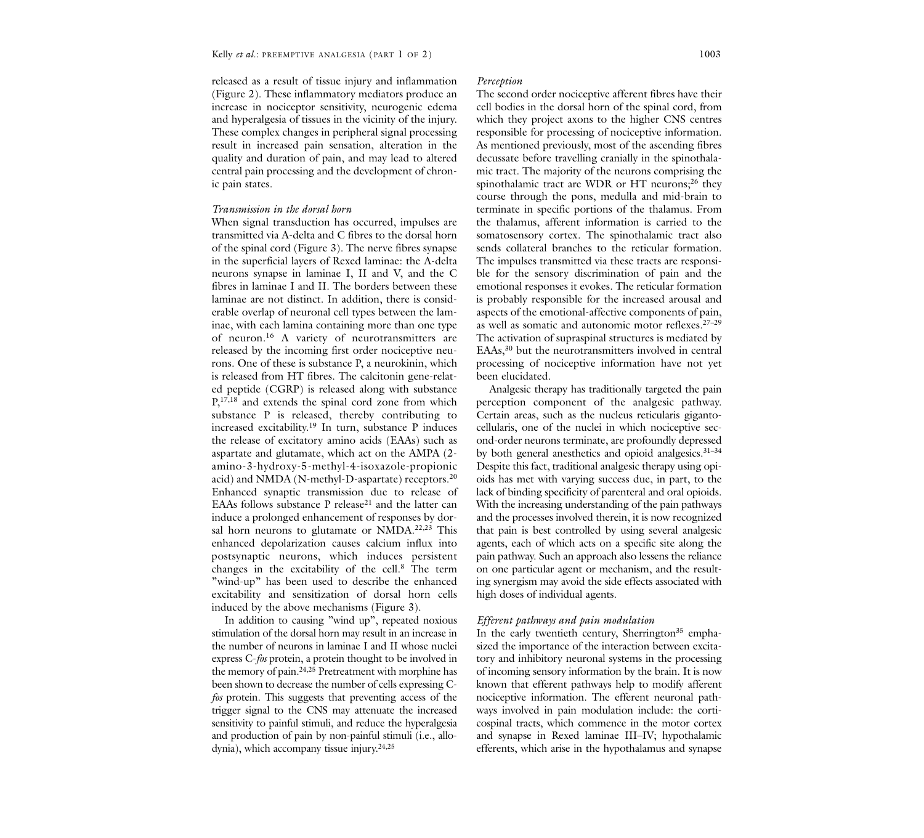released as a result of tissue injury and inflammation (Figure 2). These inflammatory mediators produce an increase in nociceptor sensitivity, neurogenic edema and hyperalgesia of tissues in the vicinity of the injury. These complex changes in peripheral signal processing result in increased pain sensation, alteration in the quality and duration of pain, and may lead to altered central pain processing and the development of chronic pain states.

# *Transmission in the dorsal horn*

When signal transduction has occurred, impulses are transmitted via A-delta and C fibres to the dorsal horn of the spinal cord (Figure 3). The nerve fibres synapse in the superficial layers of Rexed laminae: the A-delta neurons synapse in laminae I, II and V, and the C fibres in laminae I and II. The borders between these laminae are not distinct. In addition, there is considerable overlap of neuronal cell types between the laminae, with each lamina containing more than one type of neuron.16 A variety of neurotransmitters are released by the incoming first order nociceptive neurons. One of these is substance P, a neurokinin, which is released from HT fibres. The calcitonin gene-related peptide (CGRP) is released along with substance  $P<sub>1</sub><sup>17,18</sup>$  and extends the spinal cord zone from which substance P is released, thereby contributing to increased excitability.19 In turn, substance P induces the release of excitatory amino acids (EAAs) such as aspartate and glutamate, which act on the AMPA (2 amino-3-hydroxy-5-methyl-4-isoxazole-propionic acid) and NMDA (N-methyl-D-aspartate) receptors.20 Enhanced synaptic transmission due to release of EAAs follows substance  $P$  release<sup>21</sup> and the latter can induce a prolonged enhancement of responses by dorsal horn neurons to glutamate or NMDA.<sup>22,23</sup> This enhanced depolarization causes calcium influx into postsynaptic neurons, which induces persistent changes in the excitability of the cell.8 The term "wind-up" has been used to describe the enhanced excitability and sensitization of dorsal horn cells induced by the above mechanisms (Figure 3).

In addition to causing "wind up", repeated noxious stimulation of the dorsal horn may result in an increase in the number of neurons in laminae I and II whose nuclei express C-*fos* protein, a protein thought to be involved in the memory of pain.<sup>24,25</sup> Pretreatment with morphine has been shown to decrease the number of cells expressing C*fos* protein. This suggests that preventing access of the trigger signal to the CNS may attenuate the increased sensitivity to painful stimuli, and reduce the hyperalgesia and production of pain by non-painful stimuli (i.e., allodynia), which accompany tissue injury.<sup>24,25</sup>

# *Perception*

The second order nociceptive afferent fibres have their cell bodies in the dorsal horn of the spinal cord, from which they project axons to the higher CNS centres responsible for processing of nociceptive information. As mentioned previously, most of the ascending fibres decussate before travelling cranially in the spinothalamic tract. The majority of the neurons comprising the spinothalamic tract are WDR or HT neurons; $^{26}$  they course through the pons, medulla and mid-brain to terminate in specific portions of the thalamus. From the thalamus, afferent information is carried to the somatosensory cortex. The spinothalamic tract also sends collateral branches to the reticular formation. The impulses transmitted via these tracts are responsible for the sensory discrimination of pain and the emotional responses it evokes. The reticular formation is probably responsible for the increased arousal and aspects of the emotional-affective components of pain, as well as somatic and autonomic motor reflexes.27–29 The activation of supraspinal structures is mediated by EAAs,30 but the neurotransmitters involved in central processing of nociceptive information have not yet been elucidated.

Analgesic therapy has traditionally targeted the pain perception component of the analgesic pathway. Certain areas, such as the nucleus reticularis gigantocellularis, one of the nuclei in which nociceptive second-order neurons terminate, are profoundly depressed by both general anesthetics and opioid analgesics.31–34 Despite this fact, traditional analgesic therapy using opioids has met with varying success due, in part, to the lack of binding specificity of parenteral and oral opioids. With the increasing understanding of the pain pathways and the processes involved therein, it is now recognized that pain is best controlled by using several analgesic agents, each of which acts on a specific site along the pain pathway. Such an approach also lessens the reliance on one particular agent or mechanism, and the resulting synergism may avoid the side effects associated with high doses of individual agents.

## *Efferent pathways and pain modulation*

In the early twentieth century, Sherrington<sup>35</sup> emphasized the importance of the interaction between excitatory and inhibitory neuronal systems in the processing of incoming sensory information by the brain. It is now known that efferent pathways help to modify afferent nociceptive information. The efferent neuronal pathways involved in pain modulation include: the corticospinal tracts, which commence in the motor cortex and synapse in Rexed laminae III–IV; hypothalamic efferents, which arise in the hypothalamus and synapse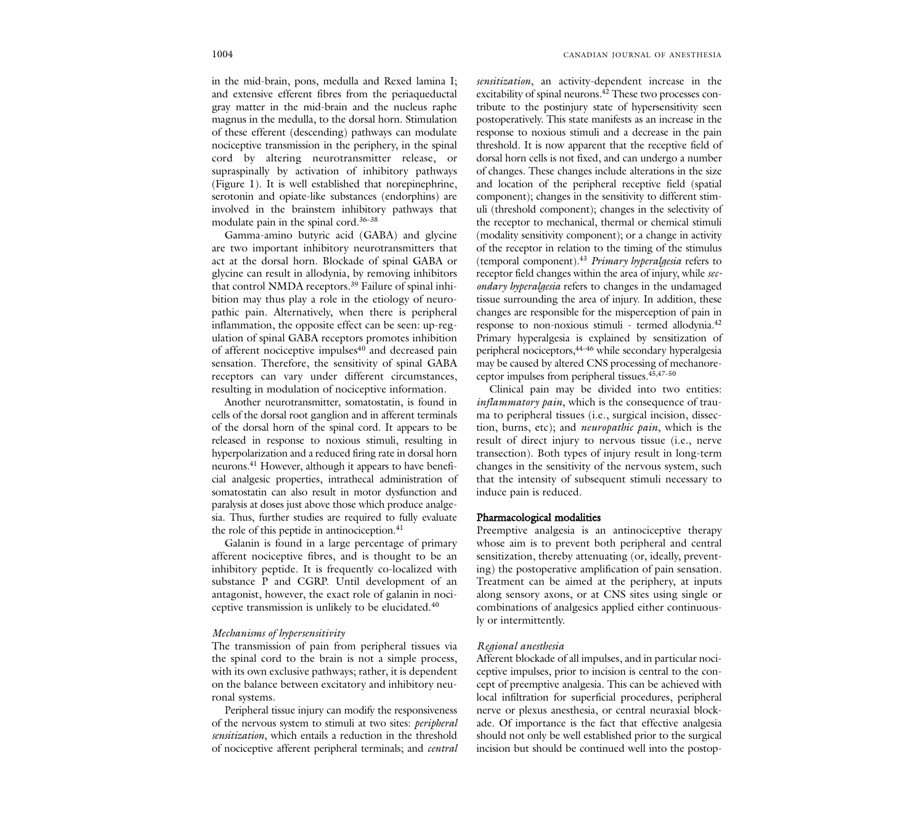in the mid-brain, pons, medulla and Rexed lamina I; and extensive efferent fibres from the periaqueductal gray matter in the mid-brain and the nucleus raphe magnus in the medulla, to the dorsal horn. Stimulation of these efferent (descending) pathways can modulate nociceptive transmission in the periphery, in the spinal cord by altering neurotransmitter release, or supraspinally by activation of inhibitory pathways (Figure 1). It is well established that norepinephrine, serotonin and opiate-like substances (endorphins) are involved in the brainstem inhibitory pathways that modulate pain in the spinal cord.<sup>36-38</sup>

Gamma-amino butyric acid (GABA) and glycine are two important inhibitory neurotransmitters that act at the dorsal horn. Blockade of spinal GABA or glycine can result in allodynia, by removing inhibitors that control NMDA receptors.<sup>39</sup> Failure of spinal inhibition may thus play a role in the etiology of neuropathic pain. Alternatively, when there is peripheral inflammation, the opposite effect can be seen: up-regulation of spinal GABA receptors promotes inhibition of afferent nociceptive impulses<sup>40</sup> and decreased pain sensation. Therefore, the sensitivity of spinal GABA receptors can vary under different circumstances, resulting in modulation of nociceptive information.

Another neurotransmitter, somatostatin, is found in cells of the dorsal root ganglion and in afferent terminals of the dorsal horn of the spinal cord. It appears to be released in response to noxious stimuli, resulting in hyperpolarization and a reduced firing rate in dorsal horn neurons.41 However, although it appears to have beneficial analgesic properties, intrathecal administration of somatostatin can also result in motor dysfunction and paralysis at doses just above those which produce analgesia. Thus, further studies are required to fully evaluate the role of this peptide in antinociception.<sup>41</sup>

Galanin is found in a large percentage of primary afferent nociceptive fibres, and is thought to be an inhibitory peptide. It is frequently co-localized with substance P and CGRP. Until development of an antagonist, however, the exact role of galanin in nociceptive transmission is unlikely to be elucidated.40

# *Mechanisms of hypersensitivity*

The transmission of pain from peripheral tissues via the spinal cord to the brain is not a simple process, with its own exclusive pathways; rather, it is dependent on the balance between excitatory and inhibitory neuronal systems.

Peripheral tissue injury can modify the responsiveness of the nervous system to stimuli at two sites: *peripheral sensitization*, which entails a reduction in the threshold of nociceptive afferent peripheral terminals; and *central*

*sensitization*, an activity-dependent increase in the excitability of spinal neurons.<sup>42</sup> These two processes contribute to the postinjury state of hypersensitivity seen postoperatively. This state manifests as an increase in the response to noxious stimuli and a decrease in the pain threshold. It is now apparent that the receptive field of dorsal horn cells is not fixed, and can undergo a number of changes. These changes include alterations in the size and location of the peripheral receptive field (spatial component); changes in the sensitivity to different stimuli (threshold component); changes in the selectivity of the receptor to mechanical, thermal or chemical stimuli (modality sensitivity component); or a change in activity of the receptor in relation to the timing of the stimulus (temporal component).43 *Primary hyperalgesia* refers to receptor field changes within the area of injury, while *secondary hyperalgesia* refers to changes in the undamaged tissue surrounding the area of injury. In addition, these changes are responsible for the misperception of pain in response to non-noxious stimuli - termed allodynia.42 Primary hyperalgesia is explained by sensitization of peripheral nociceptors,<sup>44–46</sup> while secondary hyperalgesia may be caused by altered CNS processing of mechanoreceptor impulses from peripheral tissues.45,47–50

Clinical pain may be divided into two entities: *inflammatory pain*, which is the consequence of trauma to peripheral tissues (i.e., surgical incision, dissection, burns, etc); and *neuropathic pain*, which is the result of direct injury to nervous tissue (i.e., nerve transection). Both types of injury result in long-term changes in the sensitivity of the nervous system, such that the intensity of subsequent stimuli necessary to induce pain is reduced.

# Pharmacological modalities

Preemptive analgesia is an antinociceptive therapy whose aim is to prevent both peripheral and central sensitization, thereby attenuating (or, ideally, preventing) the postoperative amplification of pain sensation. Treatment can be aimed at the periphery, at inputs along sensory axons, or at CNS sites using single or combinations of analgesics applied either continuously or intermittently.

#### *Regional anesthesia*

Afferent blockade of all impulses, and in particular nociceptive impulses, prior to incision is central to the concept of preemptive analgesia. This can be achieved with local infiltration for superficial procedures, peripheral nerve or plexus anesthesia, or central neuraxial blockade. Of importance is the fact that effective analgesia should not only be well established prior to the surgical incision but should be continued well into the postop-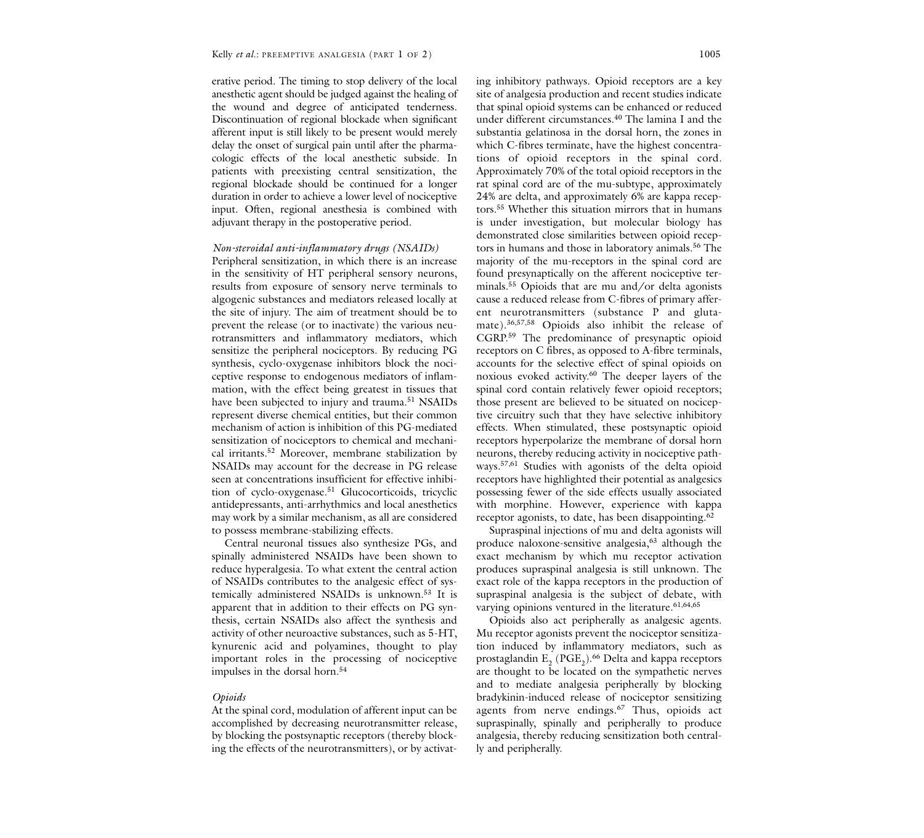erative period. The timing to stop delivery of the local anesthetic agent should be judged against the healing of the wound and degree of anticipated tenderness. Discontinuation of regional blockade when significant afferent input is still likely to be present would merely delay the onset of surgical pain until after the pharmacologic effects of the local anesthetic subside. In patients with preexisting central sensitization, the regional blockade should be continued for a longer duration in order to achieve a lower level of nociceptive input. Often, regional anesthesia is combined with adjuvant therapy in the postoperative period.

## *Non-steroidal anti-inflammatory drugs (NSAIDs)*

Peripheral sensitization, in which there is an increase in the sensitivity of HT peripheral sensory neurons, results from exposure of sensory nerve terminals to algogenic substances and mediators released locally at the site of injury. The aim of treatment should be to prevent the release (or to inactivate) the various neurotransmitters and inflammatory mediators, which sensitize the peripheral nociceptors. By reducing PG synthesis, cyclo-oxygenase inhibitors block the nociceptive response to endogenous mediators of inflammation, with the effect being greatest in tissues that have been subjected to injury and trauma.<sup>51</sup> NSAIDs represent diverse chemical entities, but their common mechanism of action is inhibition of this PG-mediated sensitization of nociceptors to chemical and mechanical irritants.52 Moreover, membrane stabilization by NSAIDs may account for the decrease in PG release seen at concentrations insufficient for effective inhibition of cyclo-oxygenase.<sup>51</sup> Glucocorticoids, tricyclic antidepressants, anti-arrhythmics and local anesthetics may work by a similar mechanism, as all are considered to possess membrane-stabilizing effects.

Central neuronal tissues also synthesize PGs, and spinally administered NSAIDs have been shown to reduce hyperalgesia. To what extent the central action of NSAIDs contributes to the analgesic effect of systemically administered NSAIDs is unknown.53 It is apparent that in addition to their effects on PG synthesis, certain NSAIDs also affect the synthesis and activity of other neuroactive substances, such as 5-HT, kynurenic acid and polyamines, thought to play important roles in the processing of nociceptive impulses in the dorsal horn.54

#### *Opioids*

At the spinal cord, modulation of afferent input can be accomplished by decreasing neurotransmitter release, by blocking the postsynaptic receptors (thereby blocking the effects of the neurotransmitters), or by activat-

ing inhibitory pathways. Opioid receptors are a key site of analgesia production and recent studies indicate that spinal opioid systems can be enhanced or reduced under different circumstances.<sup>40</sup> The lamina I and the substantia gelatinosa in the dorsal horn, the zones in which C-fibres terminate, have the highest concentrations of opioid receptors in the spinal cord. Approximately 70% of the total opioid receptors in the rat spinal cord are of the mu-subtype, approximately 24% are delta, and approximately 6% are kappa receptors.55 Whether this situation mirrors that in humans is under investigation, but molecular biology has demonstrated close similarities between opioid receptors in humans and those in laboratory animals.<sup>56</sup> The majority of the mu-receptors in the spinal cord are found presynaptically on the afferent nociceptive terminals.55 Opioids that are mu and/or delta agonists cause a reduced release from C-fibres of primary afferent neurotransmitters (substance P and glutamate).36,57,58 Opioids also inhibit the release of CGRP.59 The predominance of presynaptic opioid receptors on C fibres, as opposed to A-fibre terminals, accounts for the selective effect of spinal opioids on noxious evoked activity.60 The deeper layers of the spinal cord contain relatively fewer opioid receptors; those present are believed to be situated on nociceptive circuitry such that they have selective inhibitory effects. When stimulated, these postsynaptic opioid receptors hyperpolarize the membrane of dorsal horn neurons, thereby reducing activity in nociceptive pathways.57,61 Studies with agonists of the delta opioid receptors have highlighted their potential as analgesics possessing fewer of the side effects usually associated with morphine. However, experience with kappa receptor agonists, to date, has been disappointing.<sup>62</sup>

Supraspinal injections of mu and delta agonists will produce naloxone-sensitive analgesia,63 although the exact mechanism by which mu receptor activation produces supraspinal analgesia is still unknown. The exact role of the kappa receptors in the production of supraspinal analgesia is the subject of debate, with varying opinions ventured in the literature.<sup>61,64,65</sup>

Opioids also act peripherally as analgesic agents. Mu receptor agonists prevent the nociceptor sensitization induced by inflammatory mediators, such as prostaglandin  $E_2$  (PGE<sub>2</sub>).<sup>66</sup> Delta and kappa receptors are thought to be located on the sympathetic nerves and to mediate analgesia peripherally by blocking bradykinin-induced release of nociceptor sensitizing agents from nerve endings. $67$  Thus, opioids act supraspinally, spinally and peripherally to produce analgesia, thereby reducing sensitization both centrally and peripherally.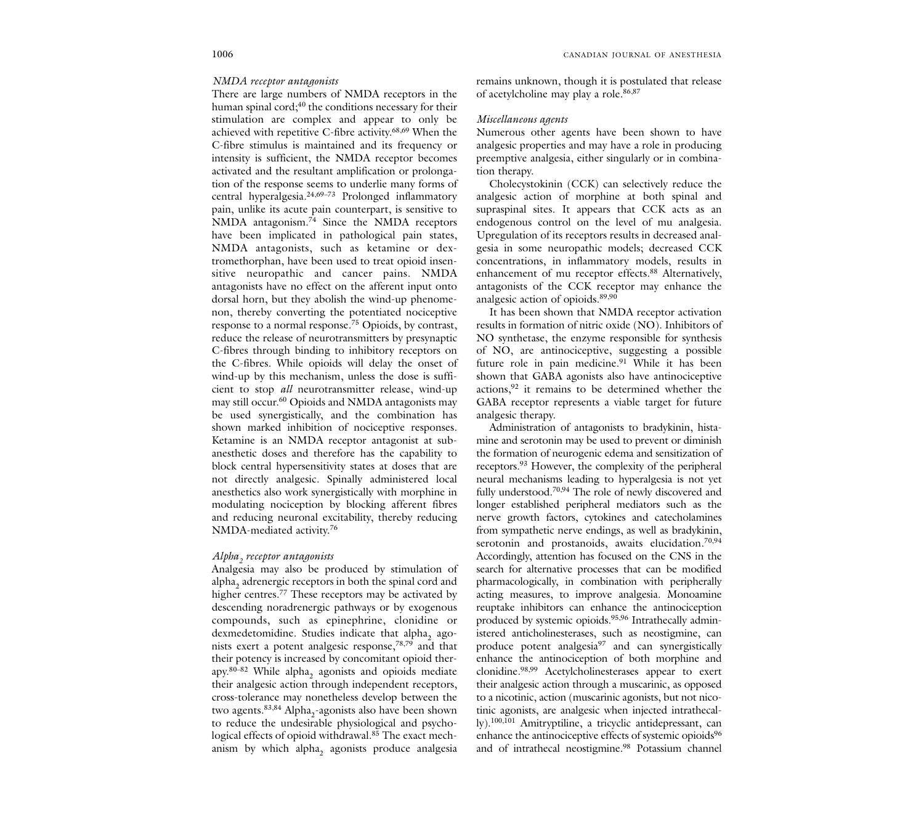## *NMDA receptor antagonists*

There are large numbers of NMDA receptors in the human spinal cord; $40$  the conditions necessary for their stimulation are complex and appear to only be achieved with repetitive C-fibre activity.68,69 When the C-fibre stimulus is maintained and its frequency or intensity is sufficient, the NMDA receptor becomes activated and the resultant amplification or prolongation of the response seems to underlie many forms of central hyperalgesia.<sup>24,69-73</sup> Prolonged inflammatory pain, unlike its acute pain counterpart, is sensitive to NMDA antagonism.74 Since the NMDA receptors have been implicated in pathological pain states, NMDA antagonists, such as ketamine or dextromethorphan, have been used to treat opioid insensitive neuropathic and cancer pains. NMDA antagonists have no effect on the afferent input onto dorsal horn, but they abolish the wind-up phenomenon, thereby converting the potentiated nociceptive response to a normal response.75 Opioids, by contrast, reduce the release of neurotransmitters by presynaptic C-fibres through binding to inhibitory receptors on the C-fibres. While opioids will delay the onset of wind-up by this mechanism, unless the dose is sufficient to stop *all* neurotransmitter release, wind-up may still occur.<sup>60</sup> Opioids and NMDA antagonists may be used synergistically, and the combination has shown marked inhibition of nociceptive responses. Ketamine is an NMDA receptor antagonist at subanesthetic doses and therefore has the capability to block central hypersensitivity states at doses that are not directly analgesic. Spinally administered local anesthetics also work synergistically with morphine in modulating nociception by blocking afferent fibres and reducing neuronal excitability, thereby reducing NMDA-mediated activity.76

## *Alpha2 receptor antagonists*

Analgesia may also be produced by stimulation of alpha<sub>2</sub> adrenergic receptors in both the spinal cord and higher centres.<sup>77</sup> These receptors may be activated by descending noradrenergic pathways or by exogenous compounds, such as epinephrine, clonidine or dexmedetomidine. Studies indicate that alpha, agonists exert a potent analgesic response,78,79 and that their potency is increased by concomitant opioid therapy. $80-82$  While alpha<sub>2</sub> agonists and opioids mediate their analgesic action through independent receptors, cross-tolerance may nonetheless develop between the two agents.<sup>83,84</sup> Alpha<sub>2</sub>-agonists also have been shown to reduce the undesirable physiological and psychological effects of opioid withdrawal.<sup>85</sup> The exact mechanism by which alpha<sub>2</sub> agonists produce analgesia remains unknown, though it is postulated that release of acetylcholine may play a role.<sup>86,87</sup>

## *Miscellaneous agents*

Numerous other agents have been shown to have analgesic properties and may have a role in producing preemptive analgesia, either singularly or in combination therapy.

Cholecystokinin (CCK) can selectively reduce the analgesic action of morphine at both spinal and supraspinal sites. It appears that CCK acts as an endogenous control on the level of mu analgesia. Upregulation of its receptors results in decreased analgesia in some neuropathic models; decreased CCK concentrations, in inflammatory models, results in enhancement of mu receptor effects.<sup>88</sup> Alternatively, antagonists of the CCK receptor may enhance the analgesic action of opioids.89,90

It has been shown that NMDA receptor activation results in formation of nitric oxide (NO). Inhibitors of NO synthetase, the enzyme responsible for synthesis of NO, are antinociceptive, suggesting a possible future role in pain medicine.<sup>91</sup> While it has been shown that GABA agonists also have antinociceptive actions,92 it remains to be determined whether the GABA receptor represents a viable target for future analgesic therapy.

Administration of antagonists to bradykinin, histamine and serotonin may be used to prevent or diminish the formation of neurogenic edema and sensitization of receptors.93 However, the complexity of the peripheral neural mechanisms leading to hyperalgesia is not yet fully understood.70,94 The role of newly discovered and longer established peripheral mediators such as the nerve growth factors, cytokines and catecholamines from sympathetic nerve endings, as well as bradykinin, serotonin and prostanoids, awaits elucidation.<sup>70,94</sup> Accordingly, attention has focused on the CNS in the search for alternative processes that can be modified pharmacologically, in combination with peripherally acting measures, to improve analgesia. Monoamine reuptake inhibitors can enhance the antinociception produced by systemic opioids.95,96 Intrathecally administered anticholinesterases, such as neostigmine, can produce potent analgesia97 and can synergistically enhance the antinociception of both morphine and clonidine.98,99 Acetylcholinesterases appear to exert their analgesic action through a muscarinic, as opposed to a nicotinic, action (muscarinic agonists, but not nicotinic agonists, are analgesic when injected intrathecally).100,101 Amitryptiline, a tricyclic antidepressant, can enhance the antinociceptive effects of systemic opioids<sup>96</sup> and of intrathecal neostigmine.<sup>98</sup> Potassium channel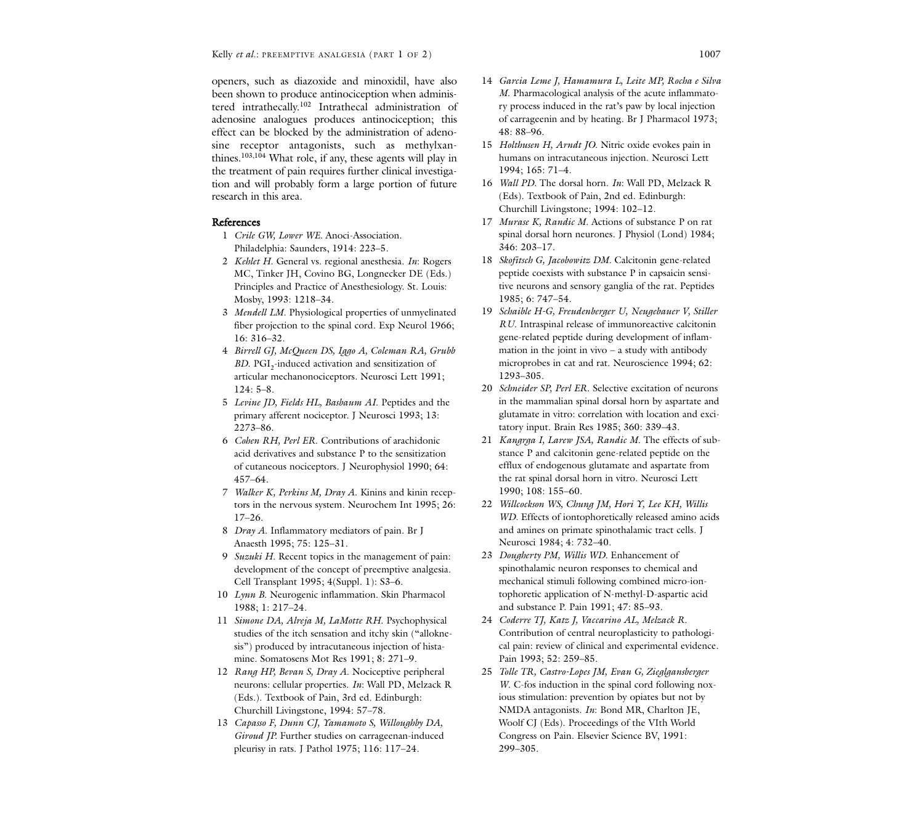openers, such as diazoxide and minoxidil, have also been shown to produce antinociception when administered intrathecally.102 Intrathecal administration of adenosine analogues produces antinociception; this effect can be blocked by the administration of adenosine receptor antagonists, such as methylxanthines.103,104 What role, if any, these agents will play in the treatment of pain requires further clinical investigation and will probably form a large portion of future research in this area.

#### **References**

- 1 *Crile GW, Lower WE.* Anoci-Association. Philadelphia: Saunders, 1914: 223–5.
- 2 *Kehlet H*. General vs. regional anesthesia. *In*: Rogers MC, Tinker JH, Covino BG, Longnecker DE (Eds.) Principles and Practice of Anesthesiology. St. Louis: Mosby, 1993: 1218–34.
- 3 *Mendell LM*. Physiological properties of unmyelinated fiber projection to the spinal cord. Exp Neurol 1966; 16: 316–32.
- 4 *Birrell GJ, McQueen DS, Iggo A, Coleman RA, Grubb BD*. PGI<sub>2</sub>-induced activation and sensitization of articular mechanonociceptors. Neurosci Lett 1991; 124: 5–8.
- 5 *Levine JD, Fields HL, Basbaum AI*. Peptides and the primary afferent nociceptor. J Neurosci 1993; 13: 2273–86.
- 6 *Cohen RH, Perl ER*. Contributions of arachidonic acid derivatives and substance P to the sensitization of cutaneous nociceptors. J Neurophysiol 1990; 64: 457–64.
- 7 *Walker K, Perkins M, Dray A*. Kinins and kinin receptors in the nervous system. Neurochem Int 1995; 26: 17–26.
- 8 *Dray A*. Inflammatory mediators of pain. Br J Anaesth 1995; 75: 125–31.
- 9 *Suzuki H*. Recent topics in the management of pain: development of the concept of preemptive analgesia. Cell Transplant 1995; 4(Suppl. 1): S3–6.
- 10 *Lynn B*. Neurogenic inflammation. Skin Pharmacol 1988; 1: 217–24.
- 11 *Simone DA, Alreja M, LaMotte RH*. Psychophysical studies of the itch sensation and itchy skin ("alloknesis") produced by intracutaneous injection of histamine. Somatosens Mot Res 1991; 8: 271–9.
- 12 *Rang HP, Bevan S, Dray A*. Nociceptive peripheral neurons: cellular properties. *In*: Wall PD, Melzack R (Eds.). Textbook of Pain, 3rd ed. Edinburgh: Churchill Livingstone, 1994: 57–78.
- 13 *Capasso F, Dunn CJ, Yamamoto S, Willoughby DA, Giroud JP.* Further studies on carrageenan-induced pleurisy in rats. J Pathol 1975; 116: 117–24.
- 14 *Garcia Leme J, Hamamura L, Leite MP, Rocha e Silva M*. Pharmacological analysis of the acute inflammatory process induced in the rat's paw by local injection of carrageenin and by heating. Br J Pharmacol 1973; 48: 88–96.
- 15 *Holthusen H, Arndt JO*. Nitric oxide evokes pain in humans on intracutaneous injection. Neurosci Lett 1994; 165: 71–4.
- 16 *Wall PD.* The dorsal horn. *In*: Wall PD, Melzack R (Eds). Textbook of Pain, 2nd ed. Edinburgh: Churchill Livingstone; 1994: 102–12.
- 17 *Murase K, Randic M*. Actions of substance P on rat spinal dorsal horn neurones. J Physiol (Lond) 1984; 346: 203–17.
- 18 *Skofitsch G, Jacobowitz DM.* Calcitonin gene-related peptide coexists with substance P in capsaicin sensitive neurons and sensory ganglia of the rat. Peptides 1985; 6: 747–54.
- 19 *Schaible H-G, Freudenberger U, Neugebauer V, Stiller RU*. Intraspinal release of immunoreactive calcitonin gene-related peptide during development of inflammation in the joint in vivo  $-$  a study with antibody microprobes in cat and rat. Neuroscience 1994; 62: 1293–305.
- 20 *Schneider SP, Perl ER*. Selective excitation of neurons in the mammalian spinal dorsal horn by aspartate and glutamate in vitro: correlation with location and excitatory input. Brain Res 1985; 360: 339–43.
- 21 *Kangrga I, Larew JSA, Randic M*. The effects of substance P and calcitonin gene-related peptide on the efflux of endogenous glutamate and aspartate from the rat spinal dorsal horn in vitro. Neurosci Lett 1990; 108: 155–60.
- 22 *Willcockson WS, Chung JM, Hori Y, Lee KH, Willis WD.* Effects of iontophoretically released amino acids and amines on primate spinothalamic tract cells. J Neurosci 1984; 4: 732–40.
- 23 *Dougherty PM, Willis WD.* Enhancement of spinothalamic neuron responses to chemical and mechanical stimuli following combined micro-iontophoretic application of N-methyl-D-aspartic acid and substance P. Pain 1991; 47: 85–93.
- 24 *Coderre TJ, Katz J, Vaccarino AL, Melzack R*. Contribution of central neuroplasticity to pathological pain: review of clinical and experimental evidence. Pain 1993; 52: 259–85.
- 25 *Tolle TR, Castro-Lopes JM, Evan G, Zieglgansberger W*. C-fos induction in the spinal cord following noxious stimulation: prevention by opiates but not by NMDA antagonists. *In*: Bond MR, Charlton JE, Woolf CJ (Eds). Proceedings of the VIth World Congress on Pain. Elsevier Science BV, 1991: 299–305.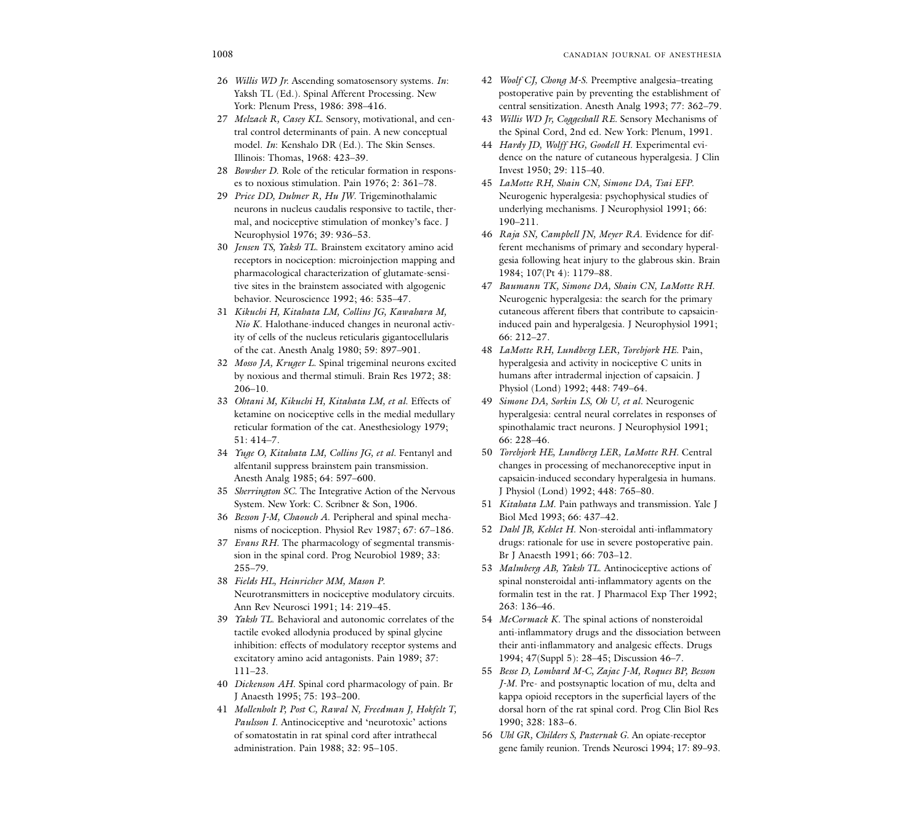- 26 *Willis WD Jr.* Ascending somatosensory systems. *In*: Yaksh TL (Ed.). Spinal Afferent Processing. New York: Plenum Press, 1986: 398–416.
- 27 *Melzack R, Casey KL.* Sensory, motivational, and central control determinants of pain. A new conceptual model. *In*: Kenshalo DR (Ed.). The Skin Senses. Illinois: Thomas, 1968: 423–39.
- 28 *Bowsher D*. Role of the reticular formation in responses to noxious stimulation. Pain 1976; 2: 361–78.
- 29 *Price DD, Dubner R, Hu JW*. Trigeminothalamic neurons in nucleus caudalis responsive to tactile, thermal, and nociceptive stimulation of monkey's face. J Neurophysiol 1976; 39: 936–53.
- 30 *Jensen TS, Yaksh TL*. Brainstem excitatory amino acid receptors in nociception: microinjection mapping and pharmacological characterization of glutamate-sensitive sites in the brainstem associated with algogenic behavior. Neuroscience 1992; 46: 535–47.
- 31 *Kikuchi H, Kitahata LM, Collins JG, Kawahara M, Nio K*. Halothane-induced changes in neuronal activity of cells of the nucleus reticularis gigantocellularis of the cat. Anesth Analg 1980; 59: 897–901.
- 32 *Mosso JA, Kruger L*. Spinal trigeminal neurons excited by noxious and thermal stimuli. Brain Res 1972; 38: 206–10.
- 33 *Ohtani M, Kikuchi H, Kitahata LM, et al.* Effects of ketamine on nociceptive cells in the medial medullary reticular formation of the cat. Anesthesiology 1979; 51: 414–7.
- 34 *Yuge O, Kitahata LM, Collins JG, et al.* Fentanyl and alfentanil suppress brainstem pain transmission. Anesth Analg 1985; 64: 597–600.
- 35 *Sherrington SC.* The Integrative Action of the Nervous System. New York: C. Scribner & Son, 1906.
- 36 *Besson J-M, Chaouch A*. Peripheral and spinal mechanisms of nociception. Physiol Rev 1987; 67: 67–186.
- 37 *Evans RH*. The pharmacology of segmental transmission in the spinal cord. Prog Neurobiol 1989; 33: 255–79.
- 38 *Fields HL, Heinricher MM, Mason P*. Neurotransmitters in nociceptive modulatory circuits. Ann Rev Neurosci 1991; 14: 219–45.
- 39 *Yaksh TL*. Behavioral and autonomic correlates of the tactile evoked allodynia produced by spinal glycine inhibition: effects of modulatory receptor systems and excitatory amino acid antagonists. Pain 1989; 37: 111–23.
- 40 *Dickenson AH*. Spinal cord pharmacology of pain. Br J Anaesth 1995; 75: 193–200.
- 41 *Mollenholt P, Post C, Rawal N, Freedman J, Hokfelt T, Paulsson I*. Antinociceptive and 'neurotoxic' actions of somatostatin in rat spinal cord after intrathecal administration. Pain 1988; 32: 95–105.
- 42 *Woolf CJ, Chong M-S*. Preemptive analgesia–treating postoperative pain by preventing the establishment of central sensitization. Anesth Analg 1993; 77: 362–79.
- 43 *Willis WD Jr, Coggeshall RE.* Sensory Mechanisms of the Spinal Cord, 2nd ed. New York: Plenum, 1991.
- 44 *Hardy JD, Wolff HG, Goodell H*. Experimental evidence on the nature of cutaneous hyperalgesia. J Clin Invest 1950; 29: 115–40.
- 45 *LaMotte RH, Shain CN, Simone DA, Tsai EFP*. Neurogenic hyperalgesia: psychophysical studies of underlying mechanisms. J Neurophysiol 1991; 66: 190–211.
- 46 *Raja SN, Campbell JN, Meyer RA.* Evidence for different mechanisms of primary and secondary hyperalgesia following heat injury to the glabrous skin. Brain 1984; 107(Pt 4): 1179–88.
- 47 *Baumann TK, Simone DA, Shain CN, LaMotte RH.* Neurogenic hyperalgesia: the search for the primary cutaneous afferent fibers that contribute to capsaicininduced pain and hyperalgesia. J Neurophysiol 1991; 66: 212–27.
- 48 *LaMotte RH, Lundberg LER, Torebjork HE*. Pain, hyperalgesia and activity in nociceptive C units in humans after intradermal injection of capsaicin. J Physiol (Lond) 1992; 448: 749–64.
- 49 *Simone DA, Sorkin LS, Oh U, et al.* Neurogenic hyperalgesia: central neural correlates in responses of spinothalamic tract neurons. J Neurophysiol 1991; 66: 228–46.
- 50 *Torebjork HE, Lundberg LER, LaMotte RH.* Central changes in processing of mechanoreceptive input in capsaicin-induced secondary hyperalgesia in humans. J Physiol (Lond) 1992; 448: 765–80.
- 51 *Kitahata LM*. Pain pathways and transmission. Yale J Biol Med 1993; 66: 437–42.
- 52 *Dahl JB, Kehlet H*. Non-steroidal anti-inflammatory drugs: rationale for use in severe postoperative pain. Br J Anaesth 1991; 66: 703–12.
- 53 *Malmberg AB, Yaksh TL*. Antinociceptive actions of spinal nonsteroidal anti-inflammatory agents on the formalin test in the rat. J Pharmacol Exp Ther 1992; 263: 136–46.
- 54 *McCormack K*. The spinal actions of nonsteroidal anti-inflammatory drugs and the dissociation between their anti-inflammatory and analgesic effects. Drugs 1994; 47(Suppl 5): 28–45; Discussion 46–7.
- 55 *Besse D, Lombard M-C, Zajac J-M, Roques BP, Besson J-M*. Pre- and postsynaptic location of mu, delta and kappa opioid receptors in the superficial layers of the dorsal horn of the rat spinal cord. Prog Clin Biol Res 1990; 328: 183–6.
- 56 *Uhl GR, Childers S, Pasternak G*. An opiate-receptor gene family reunion. Trends Neurosci 1994; 17: 89–93.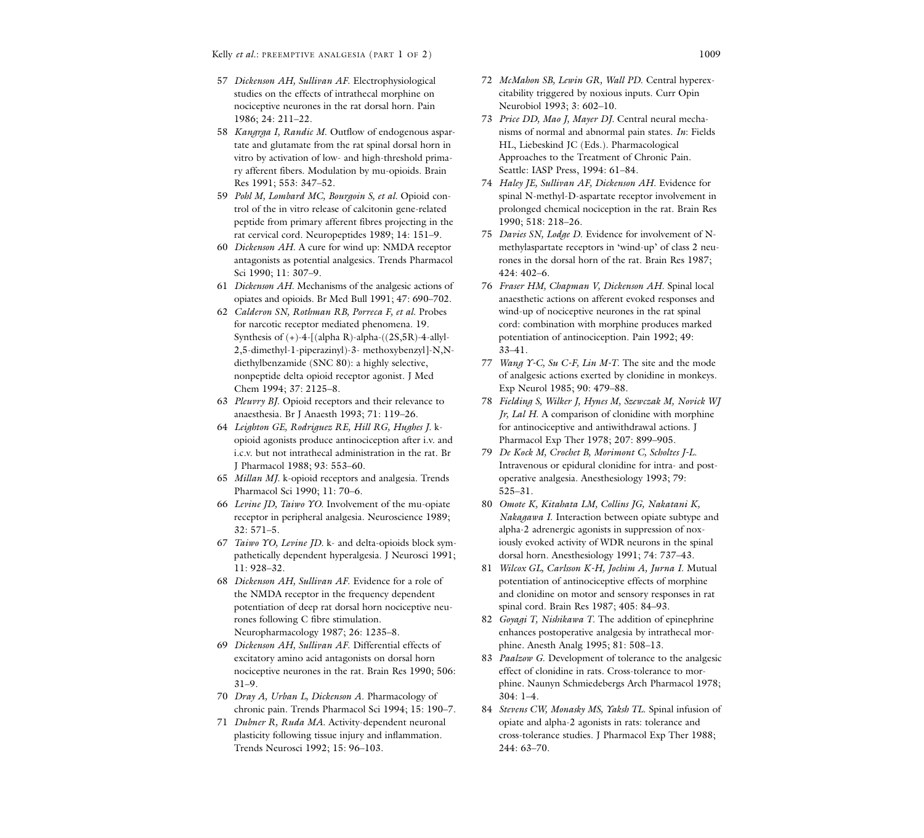Kelly *et al.*: PREEMPTIVE ANALGESIA (PART 1 OF 2) 1009

- 57 *Dickenson AH, Sullivan AF*. Electrophysiological studies on the effects of intrathecal morphine on nociceptive neurones in the rat dorsal horn. Pain 1986; 24: 211–22.
- 58 *Kangrga I, Randic M*. Outflow of endogenous aspartate and glutamate from the rat spinal dorsal horn in vitro by activation of low- and high-threshold primary afferent fibers. Modulation by mu-opioids. Brain Res 1991; 553: 347–52.
- 59 *Pohl M, Lombard MC, Bourgoin S, et al.* Opioid control of the in vitro release of calcitonin gene-related peptide from primary afferent fibres projecting in the rat cervical cord. Neuropeptides 1989; 14: 151–9.
- 60 *Dickenson AH*. A cure for wind up: NMDA receptor antagonists as potential analgesics. Trends Pharmacol Sci 1990; 11: 307–9.
- 61 *Dickenson AH*. Mechanisms of the analgesic actions of opiates and opioids. Br Med Bull 1991; 47: 690–702.
- 62 *Calderon SN, Rothman RB, Porreca F, et al.* Probes for narcotic receptor mediated phenomena. 19. Synthesis of  $(+)$ -4- $[$ (alpha R)-alpha- $((2S,5R)$ -4-allyl-2,5-dimethyl-1-piperazinyl)-3- methoxybenzyl]-N,Ndiethylbenzamide (SNC 80): a highly selective, nonpeptide delta opioid receptor agonist. J Med Chem 1994; 37: 2125–8.
- 63 *Pleuvry BJ*. Opioid receptors and their relevance to anaesthesia. Br J Anaesth 1993; 71: 119–26.
- 64 *Leighton GE, Rodriguez RE, Hill RG, Hughes J*. kopioid agonists produce antinociception after i.v. and i.c.v. but not intrathecal administration in the rat. Br J Pharmacol 1988; 93: 553–60.
- 65 *Millan MJ*. k-opioid receptors and analgesia. Trends Pharmacol Sci 1990; 11: 70–6.
- 66 *Levine JD, Taiwo YO.* Involvement of the mu-opiate receptor in peripheral analgesia. Neuroscience 1989; 32: 571–5.
- 67 *Taiwo YO, Levine JD*. k- and delta-opioids block sympathetically dependent hyperalgesia. J Neurosci 1991; 11: 928–32.
- 68 *Dickenson AH, Sullivan AF*. Evidence for a role of the NMDA receptor in the frequency dependent potentiation of deep rat dorsal horn nociceptive neurones following C fibre stimulation. Neuropharmacology 1987; 26: 1235–8.
- 69 *Dickenson AH, Sullivan AF*. Differential effects of excitatory amino acid antagonists on dorsal horn nociceptive neurones in the rat. Brain Res 1990; 506: 31–9.
- 70 *Dray A, Urban L, Dickenson A*. Pharmacology of chronic pain. Trends Pharmacol Sci 1994; 15: 190–7.
- 71 *Dubner R, Ruda MA*. Activity-dependent neuronal plasticity following tissue injury and inflammation. Trends Neurosci 1992; 15: 96–103.
- 72 *McMahon SB, Lewin GR, Wall PD*. Central hyperexcitability triggered by noxious inputs. Curr Opin Neurobiol 1993; 3: 602–10.
- 73 *Price DD, Mao J, Mayer DJ.* Central neural mechanisms of normal and abnormal pain states. *In*: Fields HL, Liebeskind JC (Eds.). Pharmacological Approaches to the Treatment of Chronic Pain. Seattle: IASP Press, 1994: 61–84.
- 74 *Haley JE, Sullivan AF, Dickenson AH.* Evidence for spinal N-methyl-D-aspartate receptor involvement in prolonged chemical nociception in the rat. Brain Res 1990; 518: 218–26.
- 75 *Davies SN, Lodge D*. Evidence for involvement of Nmethylaspartate receptors in 'wind-up' of class 2 neurones in the dorsal horn of the rat. Brain Res 1987; 424: 402–6.
- 76 *Fraser HM, Chapman V, Dickenson AH*. Spinal local anaesthetic actions on afferent evoked responses and wind-up of nociceptive neurones in the rat spinal cord: combination with morphine produces marked potentiation of antinociception. Pain 1992; 49: 33–41.
- 77 *Wang Y-C, Su C-F, Lin M-T*. The site and the mode of analgesic actions exerted by clonidine in monkeys. Exp Neurol 1985; 90: 479–88.
- 78 *Fielding S, Wilker J, Hynes M, Szewczak M, Novick WJ Jr, Lal H*. A comparison of clonidine with morphine for antinociceptive and antiwithdrawal actions. J Pharmacol Exp Ther 1978; 207: 899–905.
- 79 *De Kock M, Crochet B, Morimont C, Scholtes J-L.* Intravenous or epidural clonidine for intra- and postoperative analgesia. Anesthesiology 1993; 79: 525–31.
- 80 *Omote K, Kitahata LM, Collins JG, Nakatani K, Nakagawa I*. Interaction between opiate subtype and alpha-2 adrenergic agonists in suppression of noxiously evoked activity of WDR neurons in the spinal dorsal horn. Anesthesiology 1991; 74: 737–43.
- 81 *Wilcox GL, Carlsson K-H, Jochim A, Jurna I*. Mutual potentiation of antinociceptive effects of morphine and clonidine on motor and sensory responses in rat spinal cord. Brain Res 1987; 405: 84–93.
- 82 *Goyagi T, Nishikawa T*. The addition of epinephrine enhances postoperative analgesia by intrathecal morphine. Anesth Analg 1995; 81: 508–13.
- 83 *Paalzow G*. Development of tolerance to the analgesic effect of clonidine in rats. Cross-tolerance to morphine. Naunyn Schmiedebergs Arch Pharmacol 1978; 304: 1–4.
- 84 *Stevens CW, Monasky MS, Yaksh TL*. Spinal infusion of opiate and alpha-2 agonists in rats: tolerance and cross-tolerance studies. J Pharmacol Exp Ther 1988; 244: 63–70.